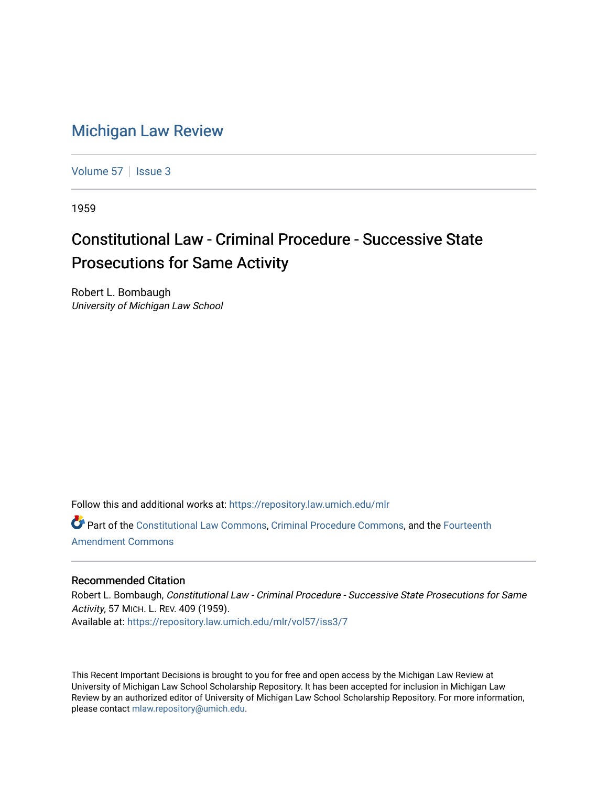## [Michigan Law Review](https://repository.law.umich.edu/mlr)

[Volume 57](https://repository.law.umich.edu/mlr/vol57) | [Issue 3](https://repository.law.umich.edu/mlr/vol57/iss3)

1959

## Constitutional Law - Criminal Procedure - Successive State Prosecutions for Same Activity

Robert L. Bombaugh University of Michigan Law School

Follow this and additional works at: [https://repository.law.umich.edu/mlr](https://repository.law.umich.edu/mlr?utm_source=repository.law.umich.edu%2Fmlr%2Fvol57%2Fiss3%2F7&utm_medium=PDF&utm_campaign=PDFCoverPages) 

Part of the [Constitutional Law Commons,](http://network.bepress.com/hgg/discipline/589?utm_source=repository.law.umich.edu%2Fmlr%2Fvol57%2Fiss3%2F7&utm_medium=PDF&utm_campaign=PDFCoverPages) [Criminal Procedure Commons,](http://network.bepress.com/hgg/discipline/1073?utm_source=repository.law.umich.edu%2Fmlr%2Fvol57%2Fiss3%2F7&utm_medium=PDF&utm_campaign=PDFCoverPages) and the [Fourteenth](http://network.bepress.com/hgg/discipline/1116?utm_source=repository.law.umich.edu%2Fmlr%2Fvol57%2Fiss3%2F7&utm_medium=PDF&utm_campaign=PDFCoverPages) [Amendment Commons](http://network.bepress.com/hgg/discipline/1116?utm_source=repository.law.umich.edu%2Fmlr%2Fvol57%2Fiss3%2F7&utm_medium=PDF&utm_campaign=PDFCoverPages)

## Recommended Citation

Robert L. Bombaugh, Constitutional Law - Criminal Procedure - Successive State Prosecutions for Same Activity, 57 MICH. L. REV. 409 (1959). Available at: [https://repository.law.umich.edu/mlr/vol57/iss3/7](https://repository.law.umich.edu/mlr/vol57/iss3/7?utm_source=repository.law.umich.edu%2Fmlr%2Fvol57%2Fiss3%2F7&utm_medium=PDF&utm_campaign=PDFCoverPages)

This Recent Important Decisions is brought to you for free and open access by the Michigan Law Review at University of Michigan Law School Scholarship Repository. It has been accepted for inclusion in Michigan Law Review by an authorized editor of University of Michigan Law School Scholarship Repository. For more information, please contact [mlaw.repository@umich.edu.](mailto:mlaw.repository@umich.edu)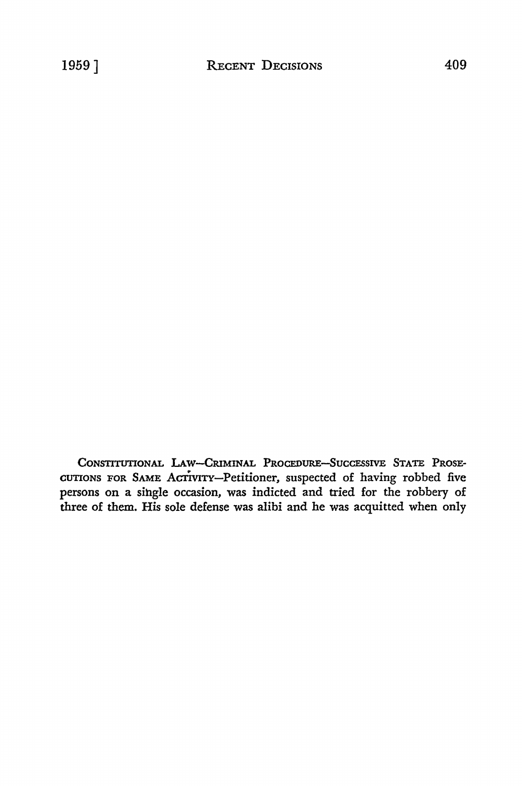CONSTITUTIONAL LAW-CRIMINAL PROCEDURE-SUCCESSIVE STATE PROSE-CUTIONS FOR SAME ACTIVITY-Petitioner, suspected of having robbed five persons on a single occasion, was indicted and tried for the robbery of three of them. His sole defense was alibi and he was acquitted when only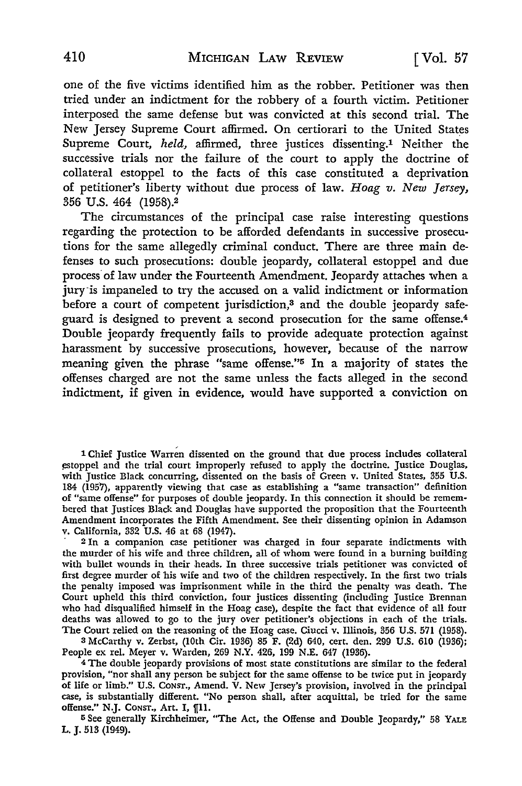one of the five victims identified him as the robber. Petitioner was then tried under an indictment for the robbery of a fourth victim. Petitioner interposed the same defense but was convicted at this second trial. The New Jersey Supreme Court affirmed. **On** certiorari to the United States Supreme Court, *held,* affirmed, three justices dissenting.1 Neither the successive trials nor the failure of the court to apply the doctrine of collateral estoppel to the facts of this case constituted a deprivation of petitioner's liberty without due process of law. *Hoag v. New Jersey,*  356 U.S. 464 (1958).<sup>2</sup>

The circumstances of the principal case raise interesting questions regarding the protection to be afforded defendants in successive prosecutions for the same allegedly criminal conduct. There are three main defenses to such prosecutions: double jeopardy, collateral estoppel and due process of law under the Fourteenth Amendment. Jeopardy attaches when a jury is impaneled to try the accused on a valid indictment or information before a court of competent jurisdiction,<sup>3</sup> and the double jeopardy safeguard is designed to prevent a second prosecution for the same offense.<sup>4</sup> Double jeopardy frequently fails to provide adequate protection against harassment by successive prosecutions, however, because of the narrow meaning given the phrase "same offense."5 In a majority of states the offenses charged are not the same unless the facts alleged in the second indictment, if given in evidence, would have supported a conviction on

l Chief Justice Warren dissented on the ground that due process includes collateral estoppel and the trial court improperly refused to apply the doctrine. Justice Douglas, with Justice Black concurring, dissented on the basis of Green v. United States, 355 U.S. 184 (1957), apparently viewing that case as establishing a "same transaction" definition of "same offense" for purposes of double jeopardy. In this connection it should be remembered that Justices Black and Douglas have supported the proposition that the Fourteenth Amendment incorporates the Fifth Amendment. See their dissenting opinion in Adamson v. California, 332 U.S. 46 at 68 (1947).

· 2 In a companion case petitioner was charged in four separate indictments with the murder of his wife and three children, all of whom were found in a burning building with bullet wounds in their heads. In three successive trials petitioner was convicted of first degree murder of his wife and two of the children respectively. In the first two trials the penalty imposed was imprisonment while in the third the penalty was death. The Court upheld this third conviction, four justices dissenting (including Justice Brennan who had disqualified himself in the Hoag case), despite the fact that evidence of all four deaths was allowed to go to the jury over petitioner's objections in each of the trials. The Court relied on the reasoning of the Hoag case. Ciucci v. Illinois, 356 U.S. 571 (1958).

3 McCarthy v. Zerbst, (10th Cir. 1936) 85 F. (2d) 640, cert. den. 299 U.S. 610 (1936); People ex rel. Meyer **v.** Warden, 269 **N.Y.** 426, 199 N.E. 647 (1936).

<sup>4</sup>The double jeopardy provisions of most state constitutions are similar to the federal provision, "nor shall any person be subject for the same offense to be twice put in jeopardy of life or limb." U.S. CONST., Amend. V. New Jersey's provision, involved in the principal case, is substantially different. "No person shall, after acquittal, be tried for the same offense." N.J. CONST., Art. I, [11.

<sup>5</sup>See generally Kirchheimer, "The Act, the Offense and Double Jeopardy," 58 YALE L. J. 513 (1949).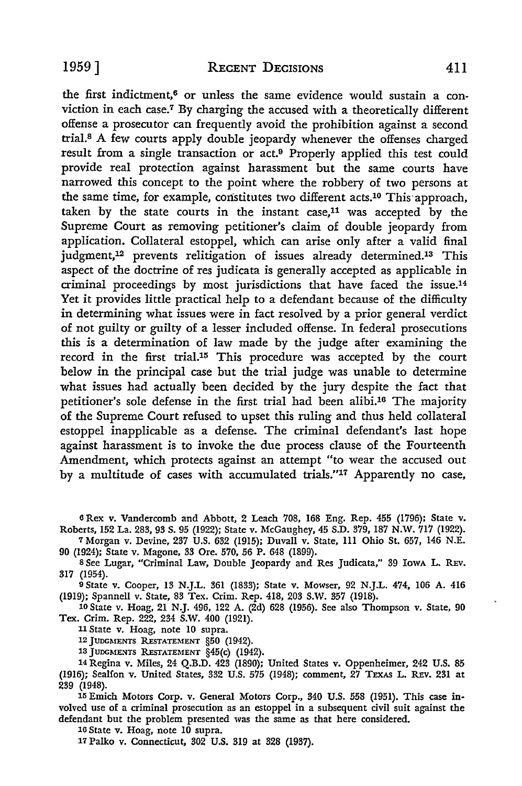the first indictment, $6$  or unless the same evidence would sustain a conviction in each case.7 By charging the accused with a theoretically different offense a prosecutor can frequently avoid the prohibition against a second trial.<sup>8</sup>A few courts apply double jeopardy whenever the offenses charged result from a single transaction or act.9 Properly applied this test could provide real protection against harassment but the same courts have narrowed this concept to the point where the robbery of two persons at the same time, for example, constitutes two different acts.<sup>10</sup> This approach, taken by the state courts in the instant case, $11$  was accepted by the Supreme Court as removing petitioner's claim of double jeopardy from application. Collateral estoppel, which can arise only after a valid final judgment,12 prevents relitigation of issues already determined.13 This aspect of the doctrine of res judicata is generally accepted as applicable in criminal proceedings by most jurisdictions that have faced the issue.<sup>14</sup> Yet it provides little practical help to a defendant because of the difficulty in determining what issues were in fact resolved by a prior general verdict of not guilty or guilty of a lesser included offense. In federal prosecutions this is a determination of law made by the judge after examining the record in the first trial.15 This procedure was accepted by the court below in the principal case but the trial judge was unable to determine what issues had actually been decided by the jury despite the fact that petitioner's sole defense in the first trial had been alibi.16 The majority of the Supreme Court refused to upset this ruling and thus held collateral estoppel inapplicable as a defense. The criminal defendant's last hope against harassment is to invoke the due process clause of the Fourteenth Amendment, which protects against an attempt "to wear the accused out by a multitude of cases with accumulated trials."17 Apparently no case,

6 Rex v. Vandercomb and Abbott, 2 Leach 708, 168 Eng. Rep. 455 (1796); State v. Roberts, 152 La. 283, 93 S. 95 (1922); State v. McGaughey, 45 S.D. 379, 187 N.W. 717 (1922). <sup>7</sup>Morgan v. Devine, 237 U.S. 632 (1915); Duvall v. State, Ill Ohio St. 657, 146 N.E.

90 (1924); State v. Magone, 33 Ore. 570, 56 P. 648 (1899).

s See Lugar, "Criminal Law, Double Jeopardy and Res Judicata," 39 IowA L. REv. 317 (1954).

9 State v. Cooper, 13 N.J.L. 361 (1833); State v. Mowser, 92 N.J.L. 474, 106 A. 416 (1919); Spannell v. State, 83 Tex. Crim. Rep. 418, 203 S.W. 357 (1918).

10 State v. Hoag, 21 N.J. 496, 122 A. (2d) 628 (1956). See also Thompson v. State, 90 Tex. Crim. Rep. 222, 234 S.W. 400 (1921).

11 State v. Hoag, note IO supra.

12 JUDGMENTS RE5TATEMENT §50 (1942).

13 JUDGMENTS RESTATEMENT §45(c) (1942).

14 Regina v. Miles, 24 Q.B.D. 423 (1890); United States v. Oppenheimer, 242 U.S. 85 (1916); Sealfon v. United States, 332 U.S. 575 (1948); comment,  $27$  TEXAS L. REV. 231 at 239 (1948).

15 Emich Motors Corp. v. General Motors Corp., 340 U.S. 558 (1951). This case involved use of a criminal prosecution as an estoppel in a subsequent civil suit against the defendant but the problem presented was the same as that here considered.

16 State v. Hoag, note 10 supra.

17 Palko v. Connecticut, 302 U.S. 319 at 328 (1937).